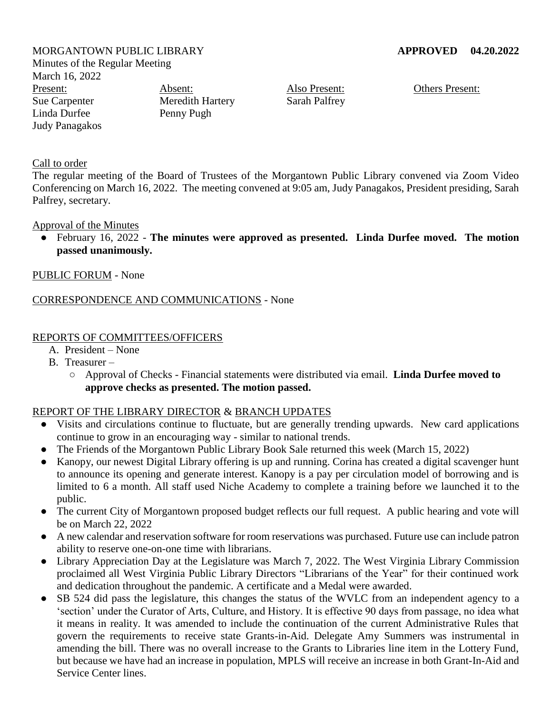MORGANTOWN PUBLIC LIBRARY **APPROVED 04.20.2022** Minutes of the Regular Meeting March 16, 2022 Present: Sue Carpenter Linda Durfee Judy Panagakos Absent: Penny Pugh

Meredith Hartery

Also Present: Sarah Palfrey Others Present:

#### Call to order

The regular meeting of the Board of Trustees of the Morgantown Public Library convened via Zoom Video Conferencing on March 16, 2022. The meeting convened at 9:05 am, Judy Panagakos, President presiding, Sarah Palfrey, secretary.

#### Approval of the Minutes

● February 16, 2022 - **The minutes were approved as presented. Linda Durfee moved. The motion passed unanimously.**

#### PUBLIC FORUM - None

## CORRESPONDENCE AND COMMUNICATIONS - None

## REPORTS OF COMMITTEES/OFFICERS

- A. President None
- B. Treasurer
	- Approval of Checks Financial statements were distributed via email. **Linda Durfee moved to approve checks as presented. The motion passed.**

#### REPORT OF THE LIBRARY DIRECTOR & BRANCH UPDATES

- Visits and circulations continue to fluctuate, but are generally trending upwards. New card applications continue to grow in an encouraging way - similar to national trends.
- The Friends of the Morgantown Public Library Book Sale returned this week (March 15, 2022)
- Kanopy, our newest Digital Library offering is up and running. Corina has created a digital scavenger hunt to announce its opening and generate interest. Kanopy is a pay per circulation model of borrowing and is limited to 6 a month. All staff used Niche Academy to complete a training before we launched it to the public.
- The current City of Morgantown proposed budget reflects our full request. A public hearing and vote will be on March 22, 2022
- A new calendar and reservation software for room reservations was purchased. Future use can include patron ability to reserve one-on-one time with librarians.
- Library Appreciation Day at the Legislature was March 7, 2022. The West Virginia Library Commission proclaimed all West Virginia Public Library Directors "Librarians of the Year" for their continued work and dedication throughout the pandemic. A certificate and a Medal were awarded.
- SB 524 did pass the legislature, this changes the status of the WVLC from an independent agency to a 'section' under the Curator of Arts, Culture, and History. It is effective 90 days from passage, no idea what it means in reality. It was amended to include the continuation of the current Administrative Rules that govern the requirements to receive state Grants-in-Aid. Delegate Amy Summers was instrumental in amending the bill. There was no overall increase to the Grants to Libraries line item in the Lottery Fund, but because we have had an increase in population, MPLS will receive an increase in both Grant-In-Aid and Service Center lines.